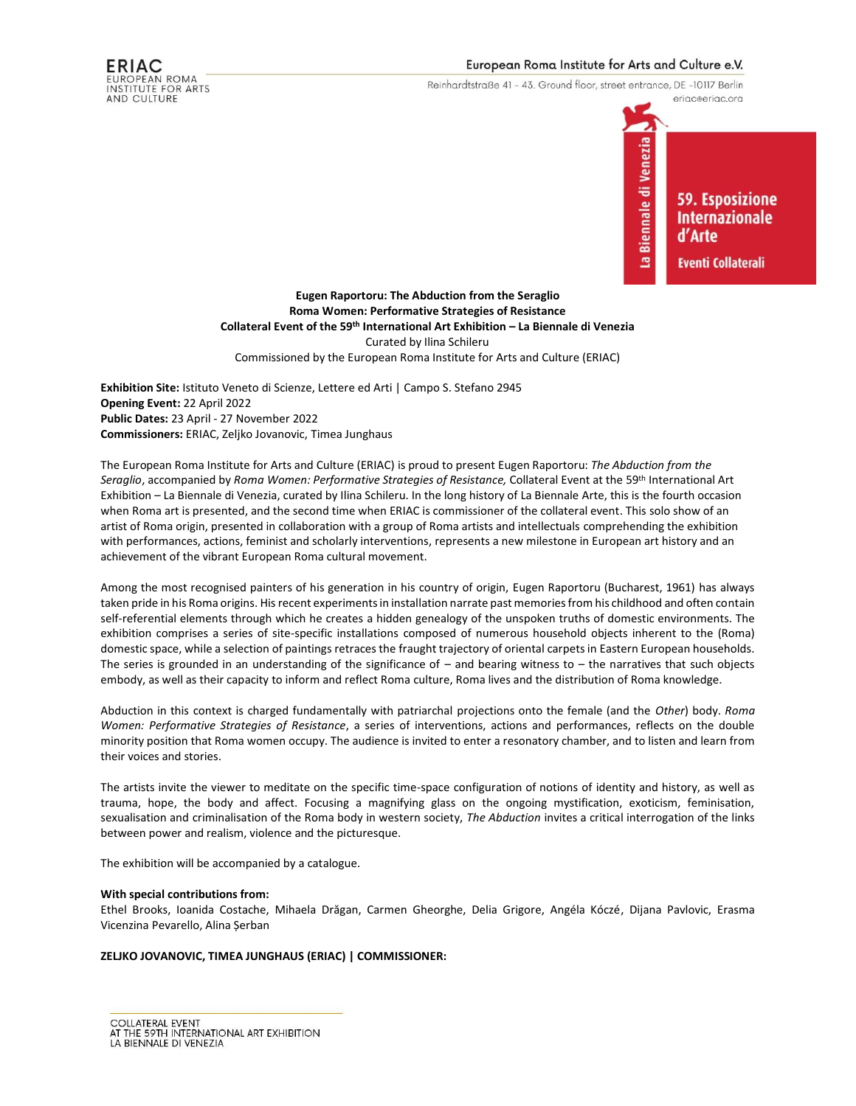# European Roma Institute for Arts and Culture e.V.

Reinhardtstraße 41 - 43. Ground floor, street entrance, DE -10117 Berlin



**Eugen Raportoru: The Abduction from the Seraglio Roma Women: Performative Strategies of Resistance Collateral Event of the 59th International Art Exhibition – La Biennale di Venezia** Curated by Ilina Schileru Commissioned by the European Roma Institute for Arts and Culture (ERIAC)

**Exhibition Site:** Istituto Veneto di Scienze, Lettere ed Arti | Campo S. Stefano 2945 **Opening Event:** 22 April 2022 **Public Dates:** 23 April - 27 November 2022 **Commissioners:** ERIAC, Zeljko Jovanovic, Timea Junghaus

The European Roma Institute for Arts and Culture (ERIAC) is proud to present Eugen Raportoru: *The Abduction from the Seraglio*, accompanied by *Roma Women: Performative Strategies of Resistance,* Collateral Event at the 59th International Art Exhibition – La Biennale di Venezia, curated by Ilina Schileru. In the long history of La Biennale Arte, this is the fourth occasion when Roma art is presented, and the second time when ERIAC is commissioner of the collateral event. This solo show of an artist of Roma origin, presented in collaboration with a group of Roma artists and intellectuals comprehending the exhibition with performances, actions, feminist and scholarly interventions, represents a new milestone in European art history and an achievement of the vibrant European Roma cultural movement.

Among the most recognised painters of his generation in his country of origin, Eugen Raportoru (Bucharest, 1961) has always taken pride in his Roma origins. His recent experiments in installation narrate past memories from his childhood and often contain self-referential elements through which he creates a hidden genealogy of the unspoken truths of domestic environments. The exhibition comprises a series of site-specific installations composed of numerous household objects inherent to the (Roma) domestic space, while a selection of paintings retraces the fraught trajectory of oriental carpets in Eastern European households. The series is grounded in an understanding of the significance of  $-$  and bearing witness to  $-$  the narratives that such objects embody, as well as their capacity to inform and reflect Roma culture, Roma lives and the distribution of Roma knowledge.

Abduction in this context is charged fundamentally with patriarchal projections onto the female (and the *Other*) body. *Roma Women: Performative Strategies of Resistance*, a series of interventions, actions and performances, reflects on the double minority position that Roma women occupy. The audience is invited to enter a resonatory chamber, and to listen and learn from their voices and stories.

The artists invite the viewer to meditate on the specific time-space configuration of notions of identity and history, as well as trauma, hope, the body and affect. Focusing a magnifying glass on the ongoing mystification, exoticism, feminisation, sexualisation and criminalisation of the Roma body in western society, *The Abduction* invites a critical interrogation of the links between power and realism, violence and the picturesque.

The exhibition will be accompanied by a catalogue.

#### **With special contributions from:**

Ethel Brooks, Ioanida Costache, Mihaela Drăgan, Carmen Gheorghe, Delia Grigore, Angéla Kóczé, Dijana Pavlovic, Erasma Vicenzina Pevarello, Alina Șerban

### **ZELJKO JOVANOVIC, TIMEA JUNGHAUS (ERIAC) | COMMISSIONER:**